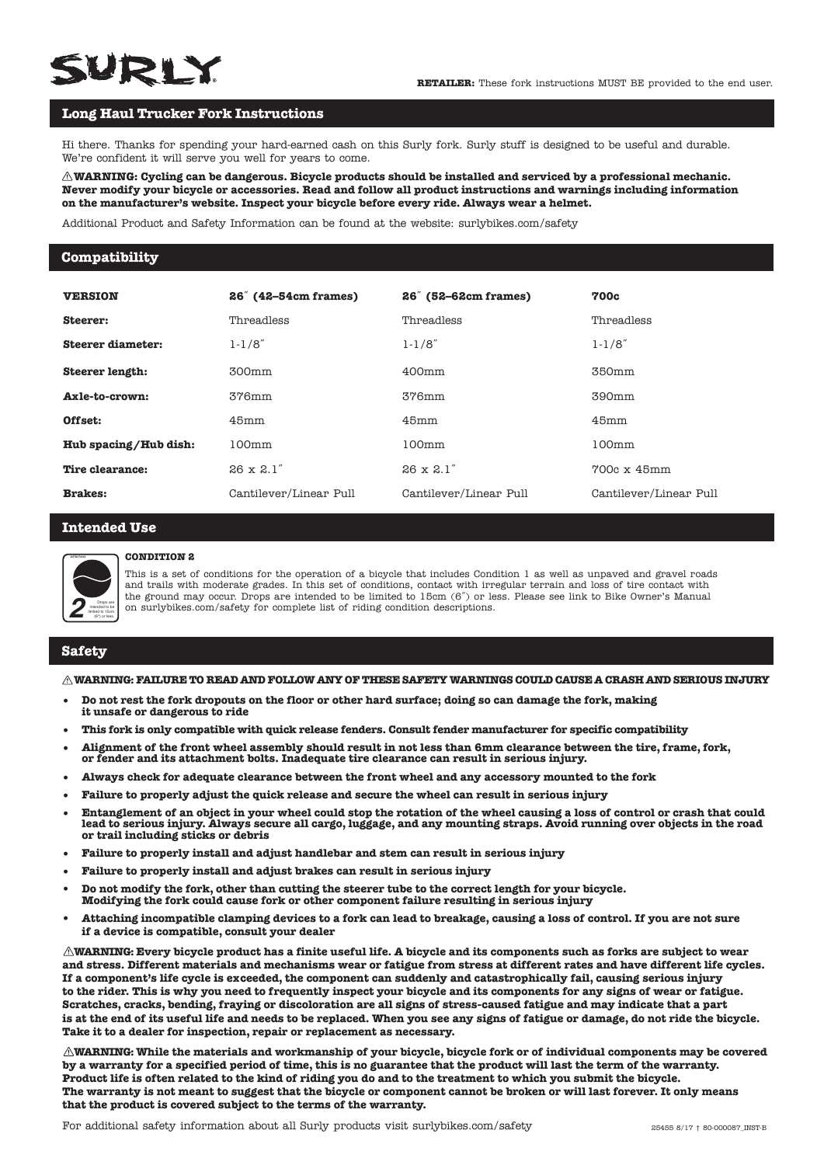# **WRIY**

# **Long Haul Trucker Fork Instructions**

Hi there. Thanks for spending your hard-earned cash on this Surly fork. Surly stuff is designed to be useful and durable. We're confident it will serve you well for years to come.

 **WARNING: Cycling can be dangerous. Bicycle products should be installed and serviced by a professional mechanic. Never modify your bicycle or accessories. Read and follow all product instructions and warnings including information on the manufacturer's website. Inspect your bicycle before every ride. Always wear a helmet.** 

Additional Product and Safety Information can be found at the website: surlybikes.com/safety

#### **Compatibility**

| <b>VERSION</b>        | 26 <sup>"</sup> (42–54cm frames) | 26" (52–62cm frames)   | <b>700c</b>            |
|-----------------------|----------------------------------|------------------------|------------------------|
| Steerer:              | Threadless                       | Threadless             | Threadless             |
| Steerer diameter:     | $1 - 1/8"$                       | $1 - 1/8"$             | $1 - 1/8"$             |
| Steerer length:       | 300mm                            | 400mm                  | 350mm                  |
| Axle-to-crown:        | 376mm                            | 376mm                  | 390mm                  |
| Offset:               | 45mm                             | 45mm                   | 45mm                   |
| Hub spacing/Hub dish: | 100mm                            | 100mm                  | 100mm                  |
| Tire clearance:       | $26 \times 2.1"$                 | $26 \times 2.1"$       | $700c \times 45mm$     |
| <b>Brakes:</b>        | Cantilever/Linear Pull           | Cantilever/Linear Pull | Cantilever/Linear Pull |

#### **Intended Use**



#### **CONDITION 2**

This is a set of conditions for the operation of a bicycle that includes Condition 1 as well as unpaved and gravel roads and trails with moderate grades. In this set of conditions, contact with irregular terrain and loss of tire contact with the ground may occur. Drops are intended to be limited to 15cm (6˝) or less. Please see link to Bike Owner's Manual on surlybikes.com/safety for complete list of riding condition descriptions.

#### **Safety**

#### **WARNING: FAILURE TO READ AND FOLLOW ANY OF THESE SAFETY WARNINGS COULD CAUSE A CRASH AND SERIOUS INJURY**

- **Do not rest the fork dropouts on the floor or other hard surface; doing so can damage the fork, making it unsafe or dangerous to ride**
- **This fork is only compatible with quick release fenders. Consult fender manufacturer for specific compatibility**
- **Alignment of the front wheel assembly should result in not less than 6mm clearance between the tire, frame, fork, or fender and its attachment bolts. Inadequate tire clearance can result in serious injury.**
- **Always check for adequate clearance between the front wheel and any accessory mounted to the fork**
- **• Failure to properly adjust the quick release and secure the wheel can result in serious injury**
- **Entanglement of an object in your wheel could stop the rotation of the wheel causing a loss of control or crash that could lead to serious injury. Always secure all cargo, luggage, and any mounting straps. Avoid running over objects in the road or trail including sticks or debris**
- **• Failure to properly install and adjust handlebar and stem can result in serious injury**
- **Failure to properly install and adjust brakes can result in serious injury**
- **Do not modify the fork, other than cutting the steerer tube to the correct length for your bicycle. Modifying the fork could cause fork or other component failure resulting in serious injury**
- **Attaching incompatible clamping devices to a fork can lead to breakage, causing a loss of control. If you are not sure if a device is compatible, consult your dealer**

**WARNING: Every bicycle product has a finite useful life. A bicycle and its components such as forks are subject to wear and stress. Different materials and mechanisms wear or fatigue from stress at different rates and have different life cycles. If a component's life cycle is exceeded, the component can suddenly and catastrophically fail, causing serious injury to the rider. This is why you need to frequently inspect your bicycle and its components for any signs of wear or fatigue. Scratches, cracks, bending, fraying or discoloration are all signs of stress-caused fatigue and may indicate that a part is at the end of its useful life and needs to be replaced. When you see any signs of fatigue or damage, do not ride the bicycle. Take it to a dealer for inspection, repair or replacement as necessary.**

**WARNING: While the materials and workmanship of your bicycle, bicycle fork or of individual components may be covered by a warranty for a specified period of time, this is no guarantee that the product will last the term of the warranty. Product life is often related to the kind of riding you do and to the treatment to which you submit the bicycle. The warranty is not meant to suggest that the bicycle or component cannot be broken or will last forever. It only means that the product is covered subject to the terms of the warranty.**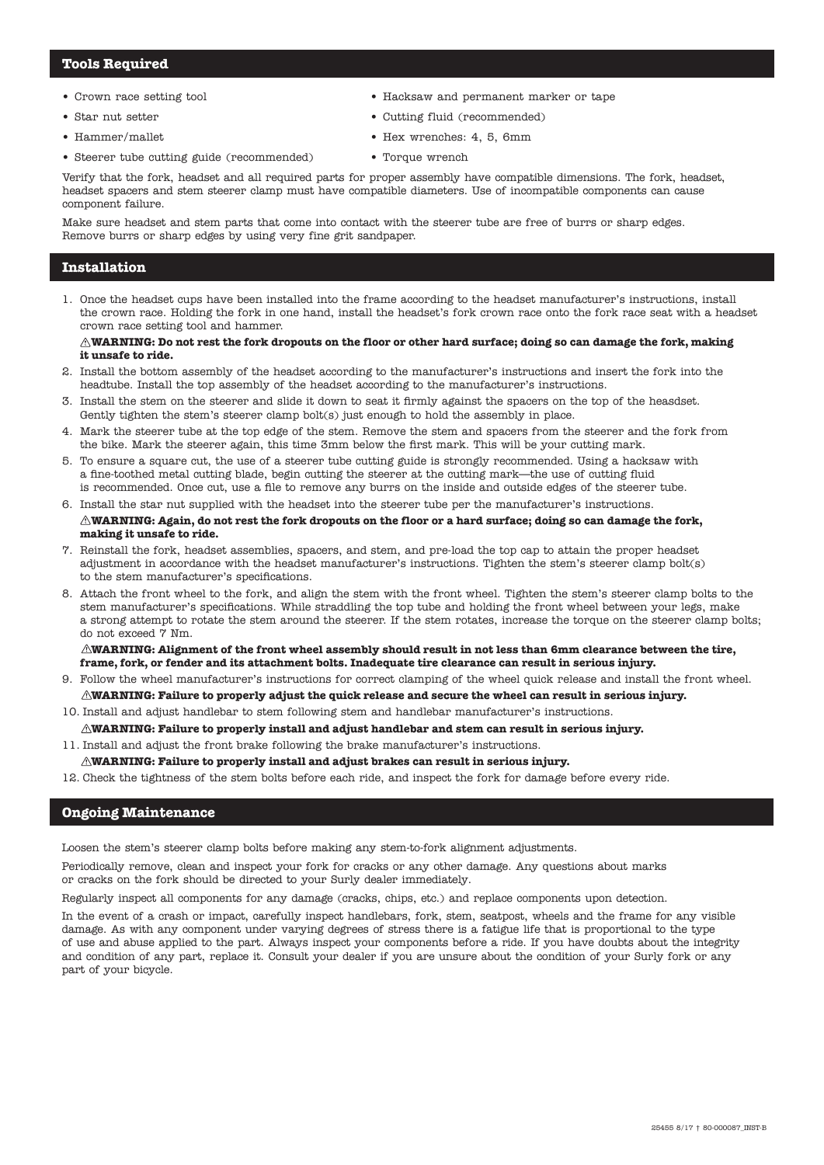### **Tools Required**

- Crown race setting tool
- Star nut setter
- Hammer/mallet
- Steerer tube cutting guide (recommended)
- Hacksaw and permanent marker or tape
	- Cutting fluid (recommended)
	- Hex wrenches: 4, 5, 6mm
- Torque wrench

Verify that the fork, headset and all required parts for proper assembly have compatible dimensions. The fork, headset, headset spacers and stem steerer clamp must have compatible diameters. Use of incompatible components can cause component failure.

Make sure headset and stem parts that come into contact with the steerer tube are free of burrs or sharp edges. Remove burrs or sharp edges by using very fine grit sandpaper.

## **Installation**

1. Once the headset cups have been installed into the frame according to the headset manufacturer's instructions, install the crown race. Holding the fork in one hand, install the headset's fork crown race onto the fork race seat with a headset crown race setting tool and hammer.

#### $\triangle$ WARNING: Do not rest the fork dropouts on the floor or other hard surface; doing so can damage the fork, making **it unsafe to ride.**

- 2. Install the bottom assembly of the headset according to the manufacturer's instructions and insert the fork into the headtube. Install the top assembly of the headset according to the manufacturer's instructions.
- 3. Install the stem on the steerer and slide it down to seat it firmly against the spacers on the top of the heasdset. Gently tighten the stem's steerer clamp bolt(s) just enough to hold the assembly in place.
- 4. Mark the steerer tube at the top edge of the stem. Remove the stem and spacers from the steerer and the fork from the bike. Mark the steerer again, this time 3mm below the first mark. This will be your cutting mark.
- 5. To ensure a square cut, the use of a steerer tube cutting guide is strongly recommended. Using a hacksaw with a fine-toothed metal cutting blade, begin cutting the steerer at the cutting mark—the use of cutting fluid is recommended. Once cut, use a file to remove any burrs on the inside and outside edges of the steerer tube.
- 6. Install the star nut supplied with the headset into the steerer tube per the manufacturer's instructions.
- **WARNING: Again, do not rest the fork dropouts on the floor or a hard surface; doing so can damage the fork, making it unsafe to ride.**
- 7. Reinstall the fork, headset assemblies, spacers, and stem, and pre-load the top cap to attain the proper headset adjustment in accordance with the headset manufacturer's instructions. Tighten the stem's steerer clamp bolt(s) to the stem manufacturer's specifications.
- 8. Attach the front wheel to the fork, and align the stem with the front wheel. Tighten the stem's steerer clamp bolts to the stem manufacturer's specifications. While straddling the top tube and holding the front wheel between your legs, make a strong attempt to rotate the stem around the steerer. If the stem rotates, increase the torque on the steerer clamp bolts; do not exceed 7 Nm.

 **WARNING: Alignment of the front wheel assembly should result in not less than 6mm clearance between the tire, frame, fork, or fender and its attachment bolts. Inadequate tire clearance can result in serious injury.**

- 9. Follow the wheel manufacturer's instructions for correct clamping of the wheel quick release and install the front wheel.  $\triangle$ WARNING: Failure to properly adjust the quick release and secure the wheel can result in serious injury.
- 10. Install and adjust handlebar to stem following stem and handlebar manufacturer's instructions.
- **WARNING: Failure to properly install and adjust handlebar and stem can result in serious injury.**
- 11. Install and adjust the front brake following the brake manufacturer's instructions.
- **WARNING: Failure to properly install and adjust brakes can result in serious injury.**
- 12. Check the tightness of the stem bolts before each ride, and inspect the fork for damage before every ride.

# **Ongoing Maintenance**

Loosen the stem's steerer clamp bolts before making any stem-to-fork alignment adjustments.

Periodically remove, clean and inspect your fork for cracks or any other damage. Any questions about marks or cracks on the fork should be directed to your Surly dealer immediately.

Regularly inspect all components for any damage (cracks, chips, etc.) and replace components upon detection.

In the event of a crash or impact, carefully inspect handlebars, fork, stem, seatpost, wheels and the frame for any visible damage. As with any component under varying degrees of stress there is a fatigue life that is proportional to the type of use and abuse applied to the part. Always inspect your components before a ride. If you have doubts about the integrity and condition of any part, replace it. Consult your dealer if you are unsure about the condition of your Surly fork or any part of your bicycle.